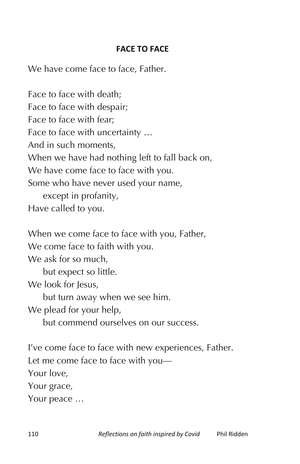## **FACE TO FACE**

We have come face to face, Father.

Face to face with death; Face to face with despair; Face to face with fear; Face to face with uncertainty … And in such moments, When we have had nothing left to fall back on, We have come face to face with you. Some who have never used your name, except in profanity, Have called to you.

When we come face to face with you, Father, We come face to faith with you. We ask for so much. but expect so little. We look for Jesus. but turn away when we see him. We plead for your help, but commend ourselves on our success.

I've come face to face with new experiences, Father. Let me come face to face with you— Your love, Your grace, Your peace …